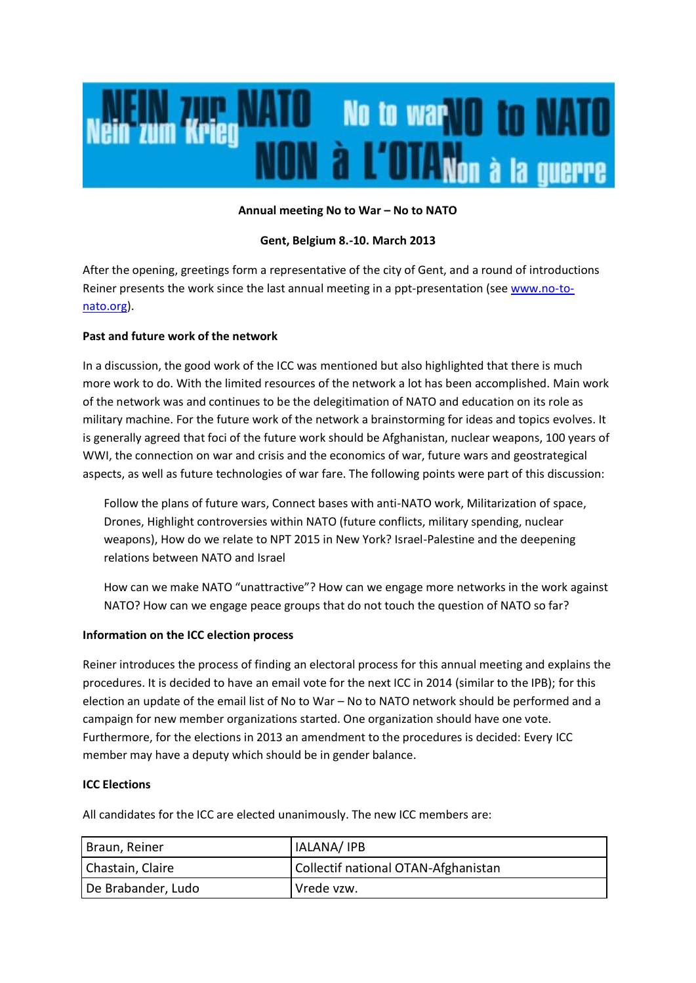

#### **Annual meeting No to War – No to NATO**

#### **Gent, Belgium 8.-10. March 2013**

After the opening, greetings form a representative of the city of Gent, and a round of introductions Reiner presents the work since the last annual meeting in a ppt-presentation (see [www.no-to](http://www.no-to-nato.org/)[nato.org\)](http://www.no-to-nato.org/).

# **Past and future work of the network**

In a discussion, the good work of the ICC was mentioned but also highlighted that there is much more work to do. With the limited resources of the network a lot has been accomplished. Main work of the network was and continues to be the delegitimation of NATO and education on its role as military machine. For the future work of the network a brainstorming for ideas and topics evolves. It is generally agreed that foci of the future work should be Afghanistan, nuclear weapons, 100 years of WWI, the connection on war and crisis and the economics of war, future wars and geostrategical aspects, as well as future technologies of war fare. The following points were part of this discussion:

Follow the plans of future wars, Connect bases with anti-NATO work, Militarization of space, Drones, Highlight controversies within NATO (future conflicts, military spending, nuclear weapons), How do we relate to NPT 2015 in New York? Israel-Palestine and the deepening relations between NATO and Israel

How can we make NATO "unattractive"? How can we engage more networks in the work against NATO? How can we engage peace groups that do not touch the question of NATO so far?

# **Information on the ICC election process**

Reiner introduces the process of finding an electoral process for this annual meeting and explains the procedures. It is decided to have an email vote for the next ICC in 2014 (similar to the IPB); for this election an update of the email list of No to War – No to NATO network should be performed and a campaign for new member organizations started. One organization should have one vote. Furthermore, for the elections in 2013 an amendment to the procedures is decided: Every ICC member may have a deputy which should be in gender balance.

#### **ICC Elections**

All candidates for the ICC are elected unanimously. The new ICC members are:

| Braun, Reiner      | IALANA/IPB                          |
|--------------------|-------------------------------------|
| Chastain, Claire   | Collectif national OTAN-Afghanistan |
| De Brabander, Ludo | Vrede vzw.                          |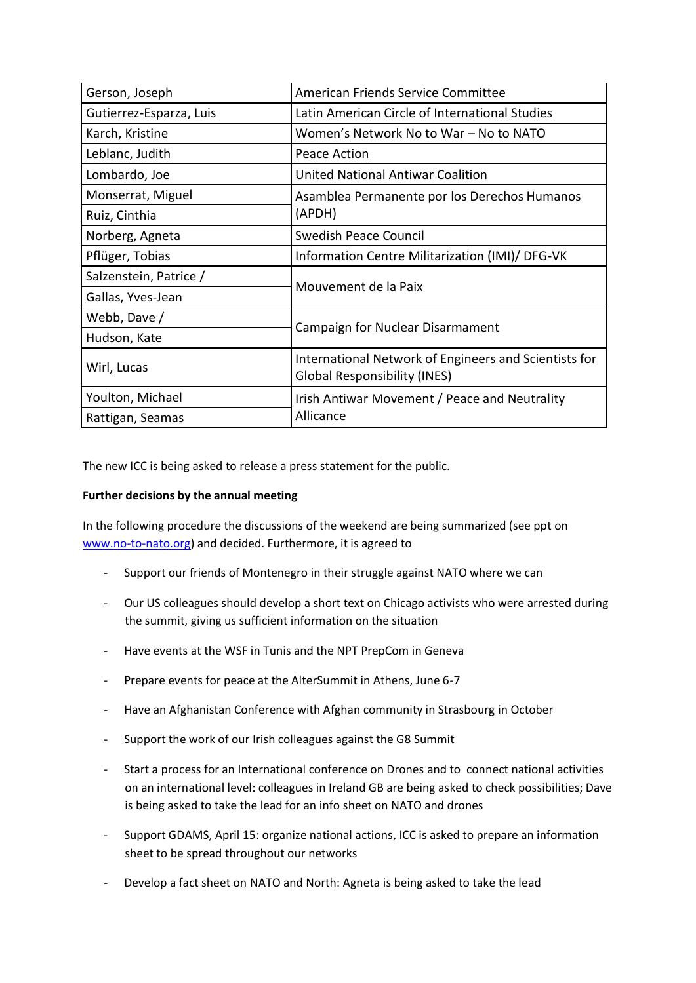| Gerson, Joseph          | American Friends Service Committee                                                           |
|-------------------------|----------------------------------------------------------------------------------------------|
| Gutierrez-Esparza, Luis | Latin American Circle of International Studies                                               |
| Karch, Kristine         | Women's Network No to War - No to NATO                                                       |
| Leblanc, Judith         | Peace Action                                                                                 |
| Lombardo, Joe           | <b>United National Antiwar Coalition</b>                                                     |
| Monserrat, Miguel       | Asamblea Permanente por los Derechos Humanos<br>(APDH)                                       |
| Ruiz, Cinthia           |                                                                                              |
| Norberg, Agneta         | <b>Swedish Peace Council</b>                                                                 |
| Pflüger, Tobias         | Information Centre Militarization (IMI)/ DFG-VK                                              |
| Salzenstein, Patrice /  | Mouvement de la Paix                                                                         |
| Gallas, Yves-Jean       |                                                                                              |
| Webb, Dave /            | Campaign for Nuclear Disarmament                                                             |
| Hudson, Kate            |                                                                                              |
| Wirl, Lucas             | International Network of Engineers and Scientists for<br><b>Global Responsibility (INES)</b> |
| Youlton, Michael        | Irish Antiwar Movement / Peace and Neutrality<br>Allicance                                   |
| Rattigan, Seamas        |                                                                                              |

The new ICC is being asked to release a press statement for the public.

# **Further decisions by the annual meeting**

In the following procedure the discussions of the weekend are being summarized (see ppt on [www.no-to-nato.org\)](http://www.no-to-nato.org/) and decided. Furthermore, it is agreed to

- Support our friends of Montenegro in their struggle against NATO where we can
- Our US colleagues should develop a short text on Chicago activists who were arrested during the summit, giving us sufficient information on the situation
- Have events at the WSF in Tunis and the NPT PrepCom in Geneva
- Prepare events for peace at the AlterSummit in Athens, June 6-7
- Have an Afghanistan Conference with Afghan community in Strasbourg in October
- Support the work of our Irish colleagues against the G8 Summit
- Start a process for an International conference on Drones and to connect national activities on an international level: colleagues in Ireland GB are being asked to check possibilities; Dave is being asked to take the lead for an info sheet on NATO and drones
- Support GDAMS, April 15: organize national actions, ICC is asked to prepare an information sheet to be spread throughout our networks
- Develop a fact sheet on NATO and North: Agneta is being asked to take the lead